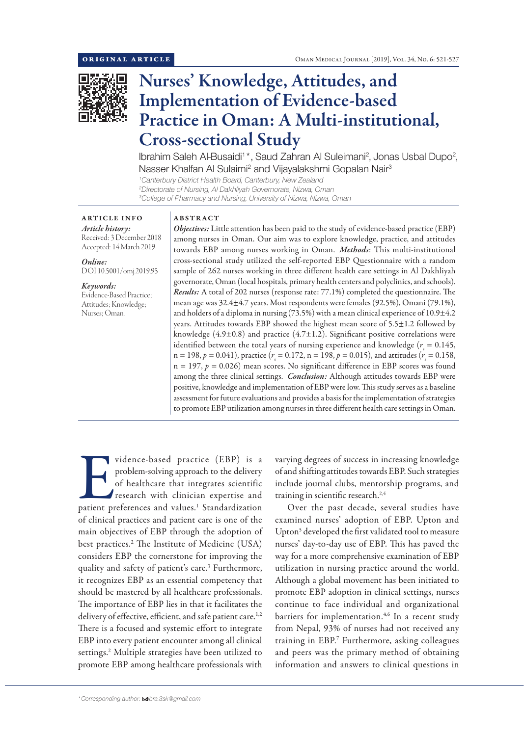

# Nurses' Knowledge, Attitudes, and Implementation of Evidence-based Practice in Oman: A Multi-institutional, Cross-sectional Study

Ibrahim Saleh Al-Busaidi<sup>1\*</sup>, Saud Zahran Al Suleimani<sup>2</sup>, Jonas Usbal Dupo<sup>2</sup>, Nasser Khalfan Al Sulaimi<sup>2</sup> and Vijayalakshmi Gopalan Nair<sup>3</sup>

*1 Canterbury District Health Board, Canterbury, New Zealand 2 Directorate of Nursing, Al Dakhliyah Governorate, Nizwa, Oman 3 College of Pharmacy and Nursing, University of Nizwa, Nizwa, Oman*

# ARTICLE INFO

*Article history:* Received: 3 December 2018 Accepted: 14 March 2019

*Online:* DOI 10.5001/omj.2019.95

*Keywords:*  Evidence-Based Practice; Attitudes; Knowledge; Nurses; Oman.

#### ABSTRACT

*Objectives:* Little attention has been paid to the study of evidence-based practice (EBP) among nurses in Oman. Our aim was to explore knowledge, practice, and attitudes towards EBP among nurses working in Oman. *Methods*: This multi-institutional cross-sectional study utilized the self-reported EBP Questionnaire with a random sample of 262 nurses working in three different health care settings in Al Dakhliyah governorate, Oman (local hospitals, primary health centers and polyclinics, and schools). *Results:* A total of 202 nurses (response rate: 77.1%) completed the questionnaire. The mean age was 32.4±4.7 years. Most respondents were females (92.5%), Omani (79.1%), and holders of a diploma in nursing  $(73.5%)$  with a mean clinical experience of  $10.9\pm4.2$ years. Attitudes towards EBP showed the highest mean score of 5.5±1.2 followed by knowledge  $(4.9\pm0.8)$  and practice  $(4.7\pm1.2)$ . Significant positive correlations were identified between the total years of nursing experience and knowledge ( $r<sub>s</sub> = 0.145$ ,  $n = 198, p = 0.041$ ), practice ( $r_s = 0.172$ ,  $n = 198, p = 0.015$ ), and attitudes ( $r_s = 0.158$ ,  $n = 197$ ,  $p = 0.026$ ) mean scores. No significant difference in EBP scores was found among the three clinical settings. *Conclusion:* Although attitudes towards EBP were positive, knowledge and implementation of EBP were low. This study serves as a baseline assessment for future evaluations and provides a basis for the implementation of strategies to promote EBP utilization among nurses in three different health care settings in Oman.

vidence-based practice (EBP) is a problem-solving approach to the delivery of healthcare that integrates scientific research with clinician expertise and patient preferences and values.<sup>1</sup> Standardization problem-solving approach to the delivery of healthcare that integrates scientific research with clinician expertise and of clinical practices and patient care is one of the main objectives of EBP through the adoption of best practices.2 The Institute of Medicine (USA) considers EBP the cornerstone for improving the quality and safety of patient's care.<sup>3</sup> Furthermore, it recognizes EBP as an essential competency that should be mastered by all healthcare professionals. The importance of EBP lies in that it facilitates the delivery of effective, efficient, and safe patient care.<sup>1,2</sup> There is a focused and systemic effort to integrate EBP into every patient encounter among all clinical settings.2 Multiple strategies have been utilized to promote EBP among healthcare professionals with

varying degrees of success in increasing knowledge of and shifting attitudes towards EBP. Such strategies include journal clubs, mentorship programs, and training in scientific research.<sup>2,4</sup>

Over the past decade, several studies have examined nurses' adoption of EBP. Upton and Upton<sup>5</sup> developed the first validated tool to measure nurses' day-to-day use of EBP. This has paved the way for a more comprehensive examination of EBP utilization in nursing practice around the world. Although a global movement has been initiated to promote EBP adoption in clinical settings, nurses continue to face individual and organizational barriers for implementation.<sup>4,6</sup> In a recent study from Nepal, 93% of nurses had not received any training in EBP.7 Furthermore, asking colleagues and peers was the primary method of obtaining information and answers to clinical questions in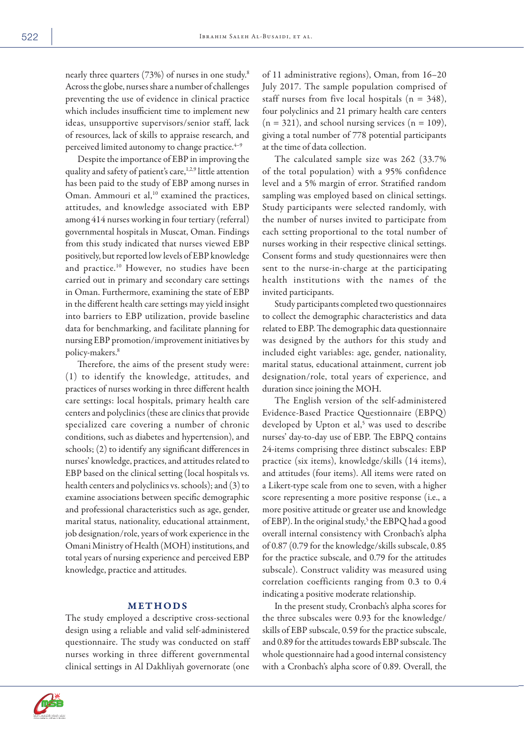nearly three quarters (73%) of nurses in one study.<sup>8</sup> Across the globe, nurses share a number of challenges preventing the use of evidence in clinical practice which includes insufficient time to implement new ideas, unsupportive supervisors/senior staff, lack of resources, lack of skills to appraise research, and perceived limited autonomy to change practice.<sup>4-9</sup>

Despite the importance of EBP in improving the quality and safety of patient's care,<sup>1,2,9</sup> little attention has been paid to the study of EBP among nurses in Oman. Ammouri et al,<sup>10</sup> examined the practices, attitudes, and knowledge associated with EBP among 414 nurses working in four tertiary (referral) governmental hospitals in Muscat, Oman. Findings from this study indicated that nurses viewed EBP positively, but reported low levels of EBP knowledge and practice.<sup>10</sup> However, no studies have been carried out in primary and secondary care settings in Oman. Furthermore, examining the state of EBP in the different health care settings may yield insight into barriers to EBP utilization, provide baseline data for benchmarking, and facilitate planning for nursing EBP promotion/improvement initiatives by policy-makers.8

Therefore, the aims of the present study were: (1) to identify the knowledge, attitudes, and practices of nurses working in three different health care settings: local hospitals, primary health care centers and polyclinics (these are clinics that provide specialized care covering a number of chronic conditions, such as diabetes and hypertension), and schools; (2) to identify any significant differences in nurses' knowledge, practices, and attitudes related to EBP based on the clinical setting (local hospitals vs. health centers and polyclinics vs. schools); and (3) to examine associations between specific demographic and professional characteristics such as age, gender, marital status, nationality, educational attainment, job designation/role, years of work experience in the Omani Ministry of Health (MOH) institutions, and total years of nursing experience and perceived EBP knowledge, practice and attitudes.

## METHODS

The study employed a descriptive cross-sectional design using a reliable and valid self-administered questionnaire. The study was conducted on staff nurses working in three different governmental clinical settings in Al Dakhliyah governorate (one

of 11 administrative regions), Oman, from 16–20 July 2017. The sample population comprised of staff nurses from five local hospitals ( $n = 348$ ), four polyclinics and 21 primary health care centers  $(n = 321)$ , and school nursing services  $(n = 109)$ , giving a total number of 778 potential participants at the time of data collection.

The calculated sample size was 262 (33.7% of the total population) with a 95% confidence level and a 5% margin of error. Stratified random sampling was employed based on clinical settings. Study participants were selected randomly, with the number of nurses invited to participate from each setting proportional to the total number of nurses working in their respective clinical settings. Consent forms and study questionnaires were then sent to the nurse-in-charge at the participating health institutions with the names of the invited participants.

Study participants completed two questionnaires to collect the demographic characteristics and data related to EBP. The demographic data questionnaire was designed by the authors for this study and included eight variables: age, gender, nationality, marital status, educational attainment, current job designation/role, total years of experience, and duration since joining the MOH.

The English version of the self-administered Evidence-Based Practice Questionnaire (EBPQ) developed by Upton et al,<sup>5</sup> was used to describe nurses' day-to-day use of EBP. The EBPQ contains 24-items comprising three distinct subscales: EBP practice (six items), knowledge/skills (14 items), and attitudes (four items). All items were rated on a Likert-type scale from one to seven, with a higher score representing a more positive response (i.e., a more positive attitude or greater use and knowledge of EBP). In the original study,<sup>5</sup> the EBPQ had a good overall internal consistency with Cronbach's alpha of 0.87 (0.79 for the knowledge/skills subscale, 0.85 for the practice subscale, and 0.79 for the attitudes subscale). Construct validity was measured using correlation coefficients ranging from 0.3 to 0.4 indicating a positive moderate relationship.

In the present study, Cronbach's alpha scores for the three subscales were 0.93 for the knowledge/ skills of EBP subscale, 0.59 for the practice subscale, and 0.89 for the attitudes towards EBP subscale. The whole questionnaire had a good internal consistency with a Cronbach's alpha score of 0.89. Overall, the

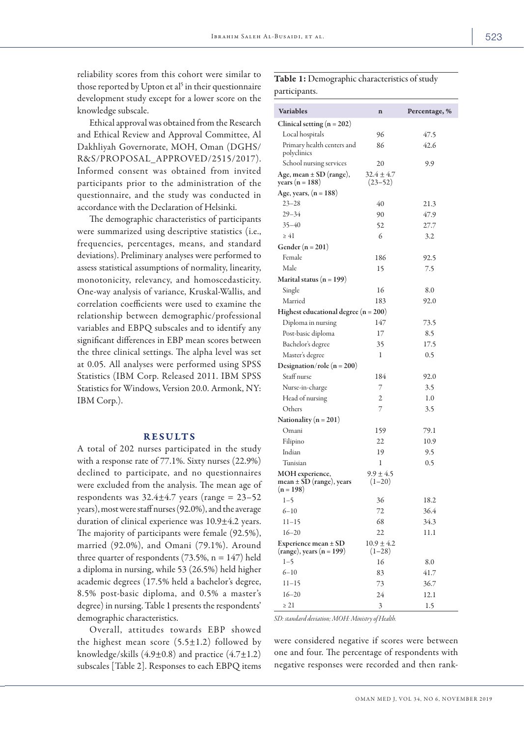reliability scores from this cohort were similar to those reported by Upton et al<sup>5</sup> in their questionnaire development study except for a lower score on the knowledge subscale.

Ethical approval was obtained from the Research and Ethical Review and Approval Committee, Al Dakhliyah Governorate, MOH, Oman (DGHS/ R&S/PROPOSAL\_APPROVED/2515/2017). Informed consent was obtained from invited participants prior to the administration of the questionnaire, and the study was conducted in accordance with the Declaration of Helsinki.

The demographic characteristics of participants were summarized using descriptive statistics (i.e., frequencies, percentages, means, and standard deviations). Preliminary analyses were performed to assess statistical assumptions of normality, linearity, monotonicity, relevancy, and homoscedasticity. One-way analysis of variance, Kruskal-Wallis, and correlation coefficients were used to examine the relationship between demographic/professional variables and EBPQ subscales and to identify any significant differences in EBP mean scores between the three clinical settings. The alpha level was set at 0.05. All analyses were performed using SPSS Statistics (IBM Corp. Released 2011. IBM SPSS Statistics for Windows, Version 20.0. Armonk, NY: IBM Corp.).

#### RESULTS

A total of 202 nurses participated in the study with a response rate of 77.1%. Sixty nurses (22.9%) declined to participate, and no questionnaires were excluded from the analysis. The mean age of respondents was  $32.4\pm4.7$  years (range = 23–52 years), most were staff nurses (92.0%), and the average duration of clinical experience was 10.9±4.2 years. The majority of participants were female (92.5%), married (92.0%), and Omani (79.1%). Around three quarter of respondents  $(73.5\%, n = 147)$  held a diploma in nursing, while 53 (26.5%) held higher academic degrees (17.5% held a bachelor's degree, 8.5% post-basic diploma, and 0.5% a master's degree) in nursing. Table 1 presents the respondents' demographic characteristics.

Overall, attitudes towards EBP showed the highest mean score  $(5.5\pm1.2)$  followed by knowledge/skills  $(4.9\pm0.8)$  and practice  $(4.7\pm1.2)$ subscales [Table 2]. Responses to each EBPQ items

## Table 1: Demographic characteristics of study participants.

| Variables                                                 | $\mathbf n$                   | Percentage, % |
|-----------------------------------------------------------|-------------------------------|---------------|
| Clinical setting $(n = 202)$                              |                               |               |
| Local hospitals                                           | 96                            | 47.5          |
| Primary health centers and<br>polyclinics                 | 86                            | 42.6          |
| School nursing services                                   | 20                            | 9.9           |
| Age, mean $\pm$ SD (range),<br>years ( $n = 188$ )        | $32.4 \pm 4.7$<br>$(23 - 52)$ |               |
| Age, years, $(n = 188)$                                   |                               |               |
| $23 - 28$                                                 | 40                            | 21.3          |
| $29 - 34$                                                 | 90                            | 47.9          |
| $35 - 40$                                                 | 52                            | 27.7          |
| $\geq 41$                                                 | 6                             | 3.2           |
| Gender $(n = 201)$                                        |                               |               |
| Female                                                    | 186                           | 92.5          |
| Male                                                      | 15                            | 7.5           |
| Marital status ( $n = 199$ )                              |                               |               |
| Single                                                    | 16                            | 8.0           |
| Married                                                   | 183                           | 92.0          |
| Highest educational degree $(n = 200)$                    |                               |               |
| Diploma in nursing                                        | 147                           | 73.5          |
| Post-basic diploma                                        | 17                            | 8.5           |
| Bachelor's degree                                         | 35                            | 17.5          |
| Master's degree                                           | 1                             | 0.5           |
| Designation/role ( $n = 200$ )                            |                               |               |
| Staff nurse                                               | 184                           | 92.0          |
| Nurse-in-charge                                           | 7                             | 3.5           |
| Head of nursing                                           | 2                             | 1.0           |
| Others                                                    | 7                             | 3.5           |
| Nationality ( $n = 201$ )                                 |                               |               |
| Omani                                                     | 159                           | 79.1          |
| Filipino                                                  | 22                            | 10.9          |
| Indian                                                    | 19                            | 9.5           |
| Tunisian                                                  | 1                             | 0.5           |
| MOH experience,                                           | $9.9 \pm 4.5$                 |               |
| mean ± SD (range), years<br>$(n = 198)$                   | $(1-20)$                      |               |
| $1 - 5$                                                   | 36                            | 18.2          |
| $6 - 10$                                                  | 72                            | 36.4          |
| $11 - 15$                                                 | 68                            | 34.3          |
| $16 - 20$                                                 | 22                            | 11.1          |
| Experience mean $\pm$ SD<br>$(range)$ , years $(n = 199)$ | $10.9 \pm 4.2$<br>$(1-28)$    |               |
| $1 - 5$                                                   | 16                            | 8.0           |
| $6 - 10$                                                  | 83                            | 41.7          |
| $11 - 15$                                                 | 73                            | 36.7          |
| $16 - 20$                                                 | 24                            | 12.1          |
| $\geq 21$                                                 | 3                             | 1.5           |

*SD: standard deviation; MOH: Ministry of Health.*

were considered negative if scores were between one and four. The percentage of respondents with negative responses were recorded and then rank-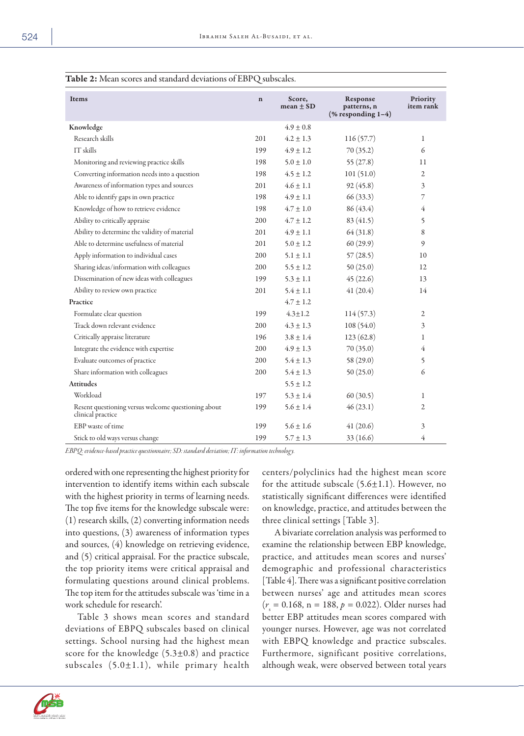| <b>EXAMPLE 24</b> INTERFERIT: $\alpha$ and standard deviations of EDT $\alpha$ subsearcs. |             |                         |                                                                |                       |  |
|-------------------------------------------------------------------------------------------|-------------|-------------------------|----------------------------------------------------------------|-----------------------|--|
| Items                                                                                     | $\mathbf n$ | Score,<br>mean $\pm$ SD | Response<br>patterns, n<br>$(% \mathbf{A})$ (% responding 1-4) | Priority<br>item rank |  |
| Knowledge                                                                                 |             | $4.9 \pm 0.8$           |                                                                |                       |  |
| Research skills                                                                           | 201         | $4.2 \pm 1.3$           | 116(57.7)                                                      | 1                     |  |
| IT skills                                                                                 | 199         | $4.9 \pm 1.2$           | 70(35.2)                                                       | 6                     |  |
| Monitoring and reviewing practice skills                                                  | 198         | $5.0 \pm 1.0$           | 55(27.8)                                                       | 11                    |  |
| Converting information needs into a question                                              | 198         | $4.5 \pm 1.2$           | 101(51.0)                                                      | $\mathfrak{2}$        |  |
| Awareness of information types and sources                                                | 201         | $4.6 \pm 1.1$           | 92(45.8)                                                       | 3                     |  |
| Able to identify gaps in own practice                                                     | 198         | $4.9 \pm 1.1$           | 66(33.3)                                                       | 7                     |  |
| Knowledge of how to retrieve evidence                                                     | 198         | $4.7 \pm 1.0$           | 86 (43.4)                                                      | 4                     |  |
| Ability to critically appraise                                                            | 200         | $4.7 \pm 1.2$           | 83(41.5)                                                       | 5                     |  |
| Ability to determine the validity of material                                             | 201         | $4.9 \pm 1.1$           | 64(31.8)                                                       | 8                     |  |
| Able to determine usefulness of material                                                  | 201         | $5.0 \pm 1.2$           | 60(29.9)                                                       | 9                     |  |
| Apply information to individual cases                                                     | 200         | $5.1 \pm 1.1$           | 57(28.5)                                                       | 10                    |  |
| Sharing ideas/information with colleagues                                                 | 200         | $5.5 \pm 1.2$           | 50(25.0)                                                       | 12                    |  |
| Dissemination of new ideas with colleagues                                                | 199         | $5.3 \pm 1.1$           | 45(22.6)                                                       | 13                    |  |
| Ability to review own practice                                                            | 201         | $5.4 \pm 1.1$           | 41(20.4)                                                       | 14                    |  |
| Practice                                                                                  |             | $4.7 \pm 1.2$           |                                                                |                       |  |
| Formulate clear question                                                                  | 199         | $4.3 \pm 1.2$           | 114(57.3)                                                      | $\overline{2}$        |  |
| Track down relevant evidence                                                              | 200         | $4.3 \pm 1.3$           | 108 (54.0)                                                     | 3                     |  |
| Critically appraise literature                                                            | 196         | $3.8 \pm 1.4$           | 123(62.8)                                                      | 1                     |  |
| Integrate the evidence with expertise                                                     | 200         | $4.9 \pm 1.3$           | 70(35.0)                                                       | 4                     |  |
| Evaluate outcomes of practice                                                             | 200         | $5.4 \pm 1.3$           | 58 (29.0)                                                      | 5                     |  |
| Share information with colleagues                                                         | 200         | $5.4 \pm 1.3$           | 50(25.0)                                                       | 6                     |  |
| <b>Attitudes</b>                                                                          |             | $5.5 \pm 1.2$           |                                                                |                       |  |
| Workload                                                                                  | 197         | $5.3 \pm 1.4$           | 60(30.5)                                                       | 1                     |  |
| Resent questioning versus welcome questioning about<br>clinical practice                  | 199         | $5.6 \pm 1.4$           | 46(23.1)                                                       | 2                     |  |
| EBP waste of time                                                                         | 199         | $5.6 \pm 1.6$           | 41(20.6)                                                       | 3                     |  |
| Stick to old ways versus change                                                           | 199         | $5.7 \pm 1.3$           | 33(16.6)                                                       | 4                     |  |

## Table 2: Mean scores and standard deviations of EBPQ subscales.

*EBPQ: evidence-based practice questionnaire; SD: standard deviation; IT: information technology.*

ordered with one representing the highest priority for intervention to identify items within each subscale with the highest priority in terms of learning needs. The top five items for the knowledge subscale were: (1) research skills, (2) converting information needs into questions, (3) awareness of information types and sources, (4) knowledge on retrieving evidence, and (5) critical appraisal. For the practice subscale, the top priority items were critical appraisal and formulating questions around clinical problems. The top item for the attitudes subscale was 'time in a work schedule for research'.

Table 3 shows mean scores and standard deviations of EBPQ subscales based on clinical settings. School nursing had the highest mean score for the knowledge  $(5.3\pm0.8)$  and practice subscales  $(5.0 \pm 1.1)$ , while primary health centers/polyclinics had the highest mean score for the attitude subscale  $(5.6 \pm 1.1)$ . However, no statistically significant differences were identified on knowledge, practice, and attitudes between the three clinical settings [Table 3].

A bivariate correlation analysis was performed to examine the relationship between EBP knowledge, practice, and attitudes mean scores and nurses' demographic and professional characteristics [Table 4]. There was a significant positive correlation between nurses' age and attitudes mean scores (*r*s = 0.168, n = 188, *p =* 0.022). Older nurses had better EBP attitudes mean scores compared with younger nurses. However, age was not correlated with EBPQ knowledge and practice subscales. Furthermore, significant positive correlations, although weak, were observed between total years

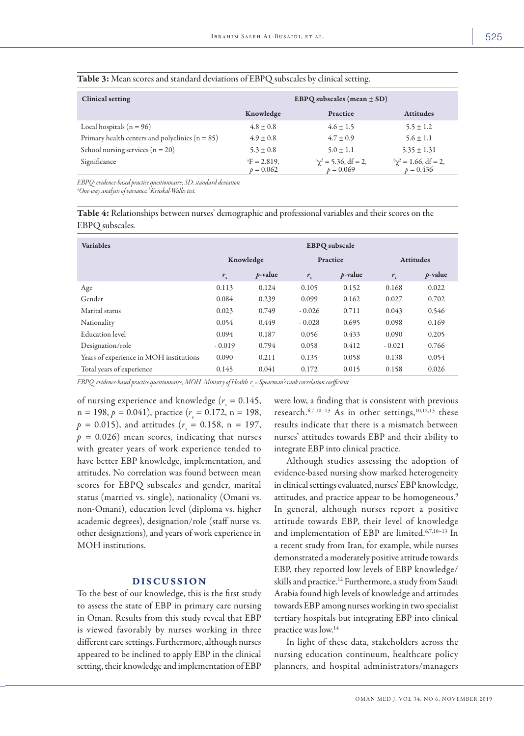| <b>Clinical setting</b>                             | EBPQ subscales (mean $\pm$ SD)         |                                           |                                           |  |
|-----------------------------------------------------|----------------------------------------|-------------------------------------------|-------------------------------------------|--|
|                                                     | Knowledge                              | Practice                                  | <b>Attitudes</b>                          |  |
| Local hospitals ( $n = 96$ )                        | $4.8 + 0.8$                            | $4.6 \pm 1.5$                             | $5.5 \pm 1.2$                             |  |
| Primary health centers and polyclinics ( $n = 85$ ) | $4.9 \pm 0.8$                          | $4.7 \pm 0.9$                             | $5.6 \pm 1.1$                             |  |
| School nursing services ( $n = 20$ )                | $5.3 \pm 0.8$                          | $5.0 \pm 1.1$                             | $5.35 \pm 1.31$                           |  |
| Significance                                        | ${}^{\rm a}$ F = 2.819,<br>$p = 0.062$ | $\alpha^2$ = 5.36, df = 2,<br>$p = 0.069$ | $b\chi^2 = 1.66$ , df = 2,<br>$p = 0.436$ |  |

#### Table 3: Mean scores and standard deviations of EBPQ subscales by clinical setting.

*EBPQ: evidence-based practice questionnaire; SD: standard deviation.*

*a One-way analysis of variance. b Kruskal-Wallis test.*

Table 4: Relationships between nurses' demographic and professional variables and their scores on the EBPQ subscales.

| <b>Variables</b>                        | <b>EBPQ</b> subscale |            |             |            |                  |            |
|-----------------------------------------|----------------------|------------|-------------|------------|------------------|------------|
|                                         | Knowledge            |            | Practice    |            | <b>Attitudes</b> |            |
|                                         | $r_{\rm s}$          | $p$ -value | $r_{\rm s}$ | $p$ -value | $r_{\rm s}$      | $p$ -value |
| Age                                     | 0.113                | 0.124      | 0.105       | 0.152      | 0.168            | 0.022      |
| Gender                                  | 0.084                | 0.239      | 0.099       | 0.162      | 0.027            | 0.702      |
| Marital status                          | 0.023                | 0.749      | $-0.026$    | 0.711      | 0.043            | 0.546      |
| Nationality                             | 0.054                | 0.449      | $-0.028$    | 0.695      | 0.098            | 0.169      |
| <b>Education</b> level                  | 0.094                | 0.187      | 0.056       | 0.433      | 0.090            | 0.205      |
| Designation/role                        | $-0.019$             | 0.794      | 0.058       | 0.412      | $-0.021$         | 0.766      |
| Years of experience in MOH institutions | 0.090                | 0.211      | 0.135       | 0.058      | 0.138            | 0.054      |
| Total years of experience               | 0.145                | 0.041      | 0.172       | 0.015      | 0.158            | 0.026      |

EBPQ: evidence-based practice questionnaire; MOH: Ministry of Health. r<sub>s</sub> = Spearman's rank correlation coefficient.

of nursing experience and knowledge ( $r<sub>s</sub> = 0.145$ ,  $n = 198, p = 0.041$ , practice ( $r<sub>s</sub> = 0.172, n = 198$ ,  $p = 0.015$ ), and attitudes ( $r_s = 0.158$ , n = 197,  $p = 0.026$ ) mean scores, indicating that nurses with greater years of work experience tended to have better EBP knowledge, implementation, and attitudes. No correlation was found between mean scores for EBPQ subscales and gender, marital status (married vs. single), nationality (Omani vs. non-Omani), education level (diploma vs. higher academic degrees), designation/role (staff nurse vs. other designations), and years of work experience in MOH institutions.

### DISCUSSION

To the best of our knowledge, this is the first study to assess the state of EBP in primary care nursing in Oman. Results from this study reveal that EBP is viewed favorably by nurses working in three different care settings. Furthermore, although nurses appeared to be inclined to apply EBP in the clinical setting, their knowledge and implementation of EBP were low, a finding that is consistent with previous research.<sup>6,7,10-13</sup> As in other settings,<sup>10,12,13</sup> these results indicate that there is a mismatch between nurses' attitudes towards EBP and their ability to integrate EBP into clinical practice.

Although studies assessing the adoption of evidence-based nursing show marked heterogeneity in clinical settings evaluated, nurses' EBP knowledge, attitudes, and practice appear to be homogeneous.<sup>9</sup> In general, although nurses report a positive attitude towards EBP, their level of knowledge and implementation of EBP are limited.6,7,10–13 In a recent study from Iran, for example, while nurses demonstrated a moderately positive attitude towards EBP, they reported low levels of EBP knowledge/ skills and practice.<sup>12</sup> Furthermore, a study from Saudi Arabia found high levels of knowledge and attitudes towards EBP among nurses working in two specialist tertiary hospitals but integrating EBP into clinical practice was low.14

In light of these data, stakeholders across the nursing education continuum, healthcare policy planners, and hospital administrators/managers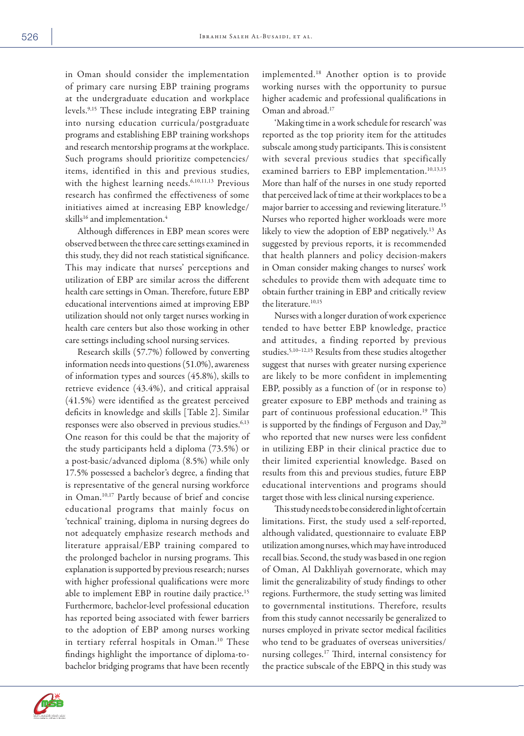in Oman should consider the implementation of primary care nursing EBP training programs at the undergraduate education and workplace levels.9,15 These include integrating EBP training into nursing education curricula/postgraduate programs and establishing EBP training workshops and research mentorship programs at the workplace. Such programs should prioritize competencies/ items, identified in this and previous studies, with the highest learning needs.<sup>6,10,11,13</sup> Previous research has confirmed the effectiveness of some initiatives aimed at increasing EBP knowledge/ skills<sup>16</sup> and implementation.<sup>4</sup>

Although differences in EBP mean scores were observed between the three care settings examined in this study, they did not reach statistical significance. This may indicate that nurses' perceptions and utilization of EBP are similar across the different health care settings in Oman. Therefore, future EBP educational interventions aimed at improving EBP utilization should not only target nurses working in health care centers but also those working in other care settings including school nursing services.

Research skills (57.7%) followed by converting information needs into questions (51.0%), awareness of information types and sources (45.8%), skills to retrieve evidence (43.4%), and critical appraisal (41.5%) were identified as the greatest perceived deficits in knowledge and skills [Table 2]. Similar responses were also observed in previous studies.<sup>6,13</sup> One reason for this could be that the majority of the study participants held a diploma (73.5%) or a post-basic/advanced diploma (8.5%) while only 17.5% possessed a bachelor's degree, a finding that is representative of the general nursing workforce in Oman.10,17 Partly because of brief and concise educational programs that mainly focus on 'technical' training, diploma in nursing degrees do not adequately emphasize research methods and literature appraisal/EBP training compared to the prolonged bachelor in nursing programs. This explanation is supported by previous research; nurses with higher professional qualifications were more able to implement EBP in routine daily practice.<sup>15</sup> Furthermore, bachelor-level professional education has reported being associated with fewer barriers to the adoption of EBP among nurses working in tertiary referral hospitals in Oman.<sup>10</sup> These findings highlight the importance of diploma-tobachelor bridging programs that have been recently

implemented.18 Another option is to provide working nurses with the opportunity to pursue higher academic and professional qualifications in Oman and abroad.17

'Making time in a work schedule for research' was reported as the top priority item for the attitudes subscale among study participants. This is consistent with several previous studies that specifically examined barriers to EBP implementation.<sup>10,13,15</sup> More than half of the nurses in one study reported that perceived lack of time at their workplaces to be a major barrier to accessing and reviewing literature.<sup>15</sup> Nurses who reported higher workloads were more likely to view the adoption of EBP negatively.<sup>13</sup> As suggested by previous reports, it is recommended that health planners and policy decision-makers in Oman consider making changes to nurses' work schedules to provide them with adequate time to obtain further training in EBP and critically review the literature.<sup>10,15</sup>

Nurses with a longer duration of work experience tended to have better EBP knowledge, practice and attitudes, a finding reported by previous studies.5,10–12,15 Results from these studies altogether suggest that nurses with greater nursing experience are likely to be more confident in implementing EBP, possibly as a function of (or in response to) greater exposure to EBP methods and training as part of continuous professional education.<sup>19</sup> This is supported by the findings of Ferguson and Day,<sup>20</sup> who reported that new nurses were less confident in utilizing EBP in their clinical practice due to their limited experiential knowledge. Based on results from this and previous studies, future EBP educational interventions and programs should target those with less clinical nursing experience.

This study needs to be considered in light of certain limitations. First, the study used a self-reported, although validated, questionnaire to evaluate EBP utilization among nurses, which may have introduced recall bias. Second, the study was based in one region of Oman, Al Dakhliyah governorate, which may limit the generalizability of study findings to other regions. Furthermore, the study setting was limited to governmental institutions. Therefore, results from this study cannot necessarily be generalized to nurses employed in private sector medical facilities who tend to be graduates of overseas universities/ nursing colleges.17 Third, internal consistency for the practice subscale of the EBPQ in this study was